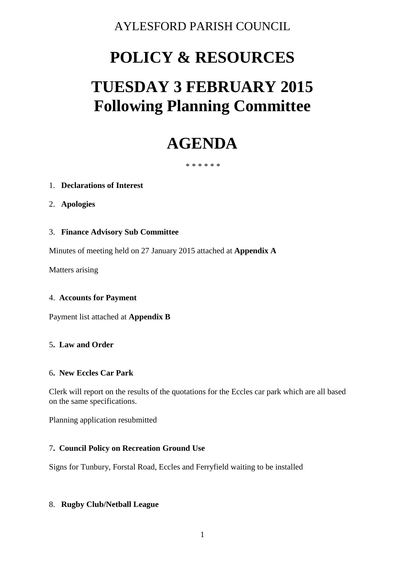# AYLESFORD PARISH COUNCIL

# **POLICY & RESOURCES**

# **TUESDAY 3 FEBRUARY 2015 Following Planning Committee**

# **AGENDA**

#### \* \* \* \* \* \*

# 1. **Declarations of Interest**

- 2. **Apologies**
- 3. **Finance Advisory Sub Committee**

Minutes of meeting held on 27 January 2015 attached at **Appendix A**

Matters arising

# 4. **Accounts for Payment**

Payment list attached at **Appendix B**

# 5**. Law and Order**

#### 6**. New Eccles Car Park**

Clerk will report on the results of the quotations for the Eccles car park which are all based on the same specifications.

Planning application resubmitted

# 7**. Council Policy on Recreation Ground Use**

Signs for Tunbury, Forstal Road, Eccles and Ferryfield waiting to be installed

# 8. **Rugby Club/Netball League**